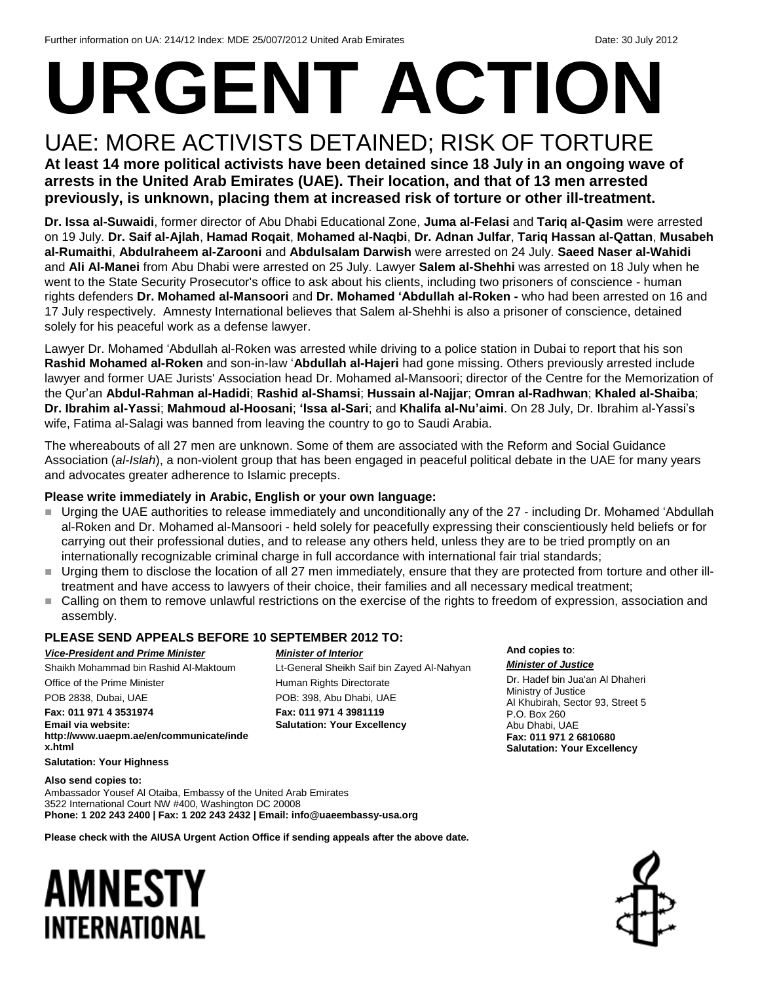# **URGENT ACTION**

### UAE: MORE ACTIVISTS DETAINED; RISK OF TORTURE **At least 14 more political activists have been detained since 18 July in an ongoing wave of arrests in the United Arab Emirates (UAE). Their location, and that of 13 men arrested previously, is unknown, placing them at increased risk of torture or other ill-treatment.**

**Dr. Issa al-Suwaidi**, former director of Abu Dhabi Educational Zone, **Juma al-Felasi** and **Tariq al-Qasim** were arrested on 19 July. **Dr. Saif al-Ajlah**, **Hamad Roqait**, **Mohamed al-Naqbi**, **Dr. Adnan Julfar**, **Tariq Hassan al-Qattan**, **Musabeh al-Rumaithi**, **Abdulraheem al-Zarooni** and **Abdulsalam Darwish** were arrested on 24 July. **Saeed Naser al-Wahidi** and **Ali Al-Manei** from Abu Dhabi were arrested on 25 July. Lawyer **Salem al-Shehhi** was arrested on 18 July when he went to the State Security Prosecutor's office to ask about his clients, including two prisoners of conscience - human rights defenders **Dr. Mohamed al-Mansoori** and **Dr. Mohamed 'Abdullah al-Roken -** who had been arrested on 16 and 17 July respectively. Amnesty International believes that Salem al-Shehhi is also a prisoner of conscience, detained solely for his peaceful work as a defense lawyer.

Lawyer Dr. Mohamed 'Abdullah al-Roken was arrested while driving to a police station in Dubai to report that his son **Rashid Mohamed al-Roken** and son-in-law '**Abdullah al-Hajeri** had gone missing. Others previously arrested include lawyer and former UAE Jurists' Association head Dr. Mohamed al-Mansoori; director of the Centre for the Memorization of the Qur'an **Abdul-Rahman al-Hadidi**; **Rashid al-Shamsi**; **Hussain al-Najjar**; **Omran al-Radhwan**; **Khaled al-Shaiba**; **Dr. Ibrahim al-Yassi**; **Mahmoud al-Hoosani**; **'Issa al-Sari**; and **Khalifa al-Nu'aimi**. On 28 July, Dr. Ibrahim al-Yassi's wife, Fatima al-Salagi was banned from leaving the country to go to Saudi Arabia.

The whereabouts of all 27 men are unknown. Some of them are associated with the Reform and Social Guidance Association (*al-Islah*), a non-violent group that has been engaged in peaceful political debate in the UAE for many years and advocates greater adherence to Islamic precepts.

#### **Please write immediately in Arabic, English or your own language:**

- Urging the UAE authorities to release immediately and unconditionally any of the 27 including Dr. Mohamed 'Abdullah al-Roken and Dr. Mohamed al-Mansoori - held solely for peacefully expressing their conscientiously held beliefs or for carrying out their professional duties, and to release any others held, unless they are to be tried promptly on an internationally recognizable criminal charge in full accordance with international fair trial standards;
- Urging them to disclose the location of all 27 men immediately, ensure that they are protected from torture and other illtreatment and have access to lawyers of their choice, their families and all necessary medical treatment;
- Calling on them to remove unlawful restrictions on the exercise of the rights to freedom of expression, association and assembly.

#### **PLEASE SEND APPEALS BEFORE 10 SEPTEMBER 2012 TO:**

*Vice-President and Prime Minister* Shaikh Mohammad bin Rashid Al-Maktoum Office of the Prime Minister POB 2838, Dubai, UAE

**Fax: 011 971 4 3531974 Email via website: [http://www.uaepm.ae/en/communicate/inde](http://www.uaepm.ae/en/communicate/index.html) [x.html](http://www.uaepm.ae/en/communicate/index.html) Salutation: Your Highness**

*Minister of Interior* Lt-General Sheikh Saif bin Zayed Al-Nahyan Human Rights Directorate POB: 398, Abu Dhabi, UAE **Fax: 011 971 4 3981119 Salutation: Your Excellency** 

**And copies to**:

*Minister of Justice* Dr. Hadef bin Jua'an Al Dhaheri Ministry of Justice Al Khubirah, Sector 93, Street 5 P.O. Box 260 Abu Dhabi, UAE **Fax: 011 971 2 6810680 Salutation: Your Excellency**

**Also send copies to:** Ambassador Yousef Al Otaiba, Embassy of the United Arab Emirates 3522 International Court NW #400, Washington DC 20008 **Phone: 1 202 243 2400 | Fax: 1 202 243 2432 | Email: info@uaeembassy-usa.org**

**Please check with the AIUSA Urgent Action Office if sending appeals after the above date.**

### AMNESTY INTERNATIONAL